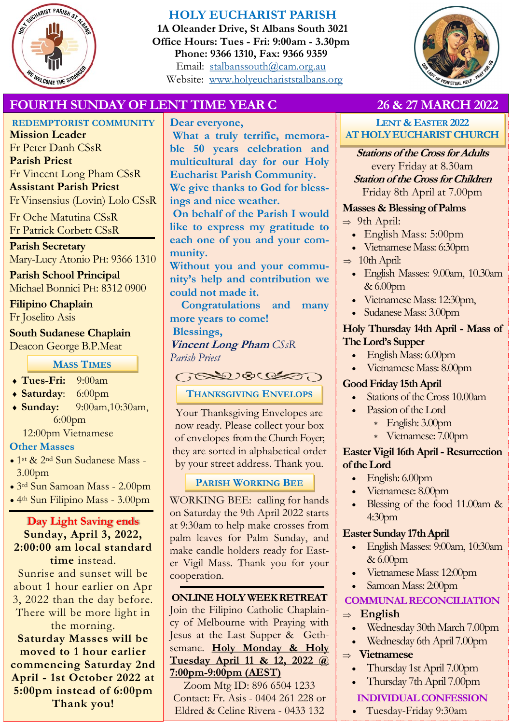

## **HOLY EUCHARIST PARISH**

**1A Oleander Drive, St Albans South 3021 Office Hours: Tues - Fri: 9:00am - 3.30pm Phone: 9366 1310, Fax: 9366 9359** Email: [stalbanssouth@cam.org.au](mailto:stalbanssouth@cam.org.au) Website:[www.holyeuchariststalbans.org](http://www.holyeuchariststalbans.org)



## **FOURTH SUNDAY OF LENT TIME YEAR C 26 & 27 MARCH 2022**

## **REDEMPTORIST COMMUNITY**

**Mission Leader** Fr Peter Danh CSsR **Parish Priest** Fr Vincent Long Pham CSsR **Assistant Parish Priest**  Fr Vinsensius (Lovin) Lolo CSsR

Fr Oche Matutina CSsR Fr Patrick Corbett CSsR

# **Parish Secretary**

Mary-Lucy Atonio PH: 9366 1310

**Parish School Principal** Michael Bonnici PH: 8312 0900

#### **Filipino Chaplain** Fr Joselito Asis

# **South Sudanese Chaplain**

Deacon George B.P.Meat

**MASS TIMES**

- **Tues-Fri:** 9:00am
- **Saturday**: 6:00pm
- **Sunday:** 9:00am,10:30am, 6:00pm

12:00pm Vietnamese

## **Other Masses**

- 1st & 2nd Sun Sudanese Mass 3.00pm
- 3rd Sun Samoan Mass 2.00pm
- 4th Sun Filipino Mass 3.00pm

#### **Day Light Saving ends Sunday, April 3, 2022, 2:00:00 am local standard time** instead.

Sunrise and sunset will be about 1 hour earlier on Apr 3, 2022 than the day before. There will be more light in the morning.

**Saturday Masses will be moved to 1 hour earlier commencing Saturday 2nd April - 1st October 2022 at 5:00pm instead of 6:00pm Thank you!**

**Dear everyone, What a truly terrific, memorable 50 years celebration and multicultural day for our Holy Eucharist Parish Community. We give thanks to God for blessings and nice weather. On behalf of the Parish I would** 

**like to express my gratitude to each one of you and your community.** 

**Without you and your community's help and contribution we could not made it.** 

**Congratulations and many more years to come!**

**Blessings,**

**Vincent Long Pham** *CSsR Parish Priest*

## $\bigcap_{n=1}^\infty$

## **THANKSGIVING ENVELOPS**

Your Thanksgiving Envelopes are now ready. Please collect your box of envelopes from the Church Foyer; they are sorted in alphabetical order by your street address. Thank you.

## **PARISH WORKING BEE**

WORKING BEE: calling for hands on Saturday the 9th April 2022 starts at 9:30am to help make crosses from palm leaves for Palm Sunday, and make candle holders ready for Easter Vigil Mass. Thank you for your cooperation.

#### **ONLINE HOLY WEEK RETREAT** Join the Filipino Catholic Chaplaincy of Melbourne with Praying with Jesus at the Last Supper & Gethsemane. **Holy Monday & Holy Tuesday April 11 & 12, 2022 @ 7:00pm-9:00pm (AEST)**

Zoom Mtg ID: 896 6504 1233 Contact: Fr. Asis - 0404 261 228 or Eldred & Celine Rivera - 0433 132

**LENT & EASTER 2022 AT HOLY EUCHARIST CHURCH**

**Stations of the Cross for Adults**  every Friday at 8.30am **Station of the Cross for Children**  Friday 8th April at 7.00pm

## **Masses & Blessing of Palms**

- $\Rightarrow$  9th April:
	- English Mass: 5:00pm
	- Vietnamese Mass: 6:30pm
- $\Rightarrow$  10th April:
	- English Masses: 9.00am, 10.30am & 6.00pm
	- Vietnamese Mass: 12:30pm,
	- Sudanese Mass: 3.00pm

## **Holy Thursday 14th April - Mass of The Lord's Supper**

- English Mass: 6.00pm
- Vietnamese Mass: 8.00pm

## **Good Friday 15th April**

- Stations of the Cross 10.00am
- Passion of the Lord
	- English: 3.00pm
	- Vietnamese: 7.00pm

### **Easter Vigil 16th April -Resurrection of the Lord**

- English: 6.00pm
- Vietnamese: 8.00pm
- Blessing of the food 11.00am & 4:30pm

## **Easter Sunday 17th April**

- English Masses: 9:00am, 10:30am & 6.00pm
- Vietnamese Mass: 12:00pm
- Samoan Mass: 2:00pm

## **COMMUNAL RECONCILIATION**

## **English**

- Wednesday 30th March 7.00pm
- Wednesday 6th April 7.00pm
- **Vietnamese**
	- Thursday 1st April 7.00pm
	- Thursday 7th April 7.00pm

## **INDIVIDUAL CONFESSION**

Tuesday-Friday 9:30am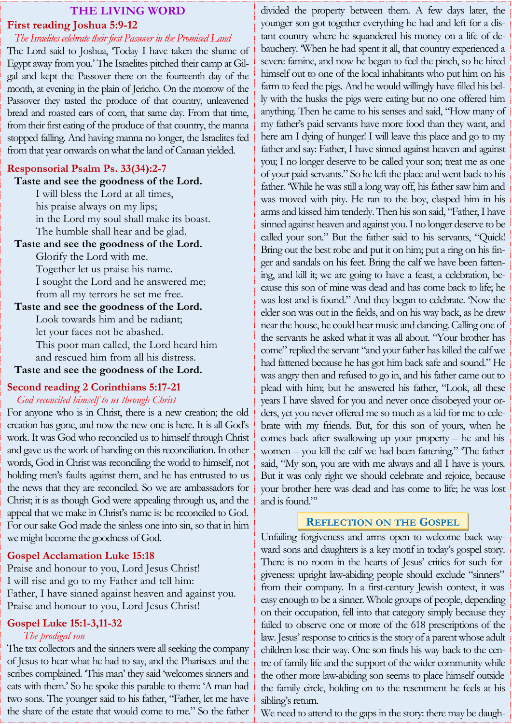#### **THE LIVING WORD First reading Joshua 5:9-12**

#### *The Israelites celebrate their first Passover in the Promised Land*

The Lord said to Joshua, 'Today I have taken the shame of Egypt away from you.' The Israelites pitched their camp at Gilgal and kept the Passover there on the fourteenth day of the month, at evening in the plain of Jericho. On the morrow of the Passover they tasted the produce of that country, unleavened bread and roasted ears of corn, that same day. From that time, from their first eating of the produce of that country, the manna stopped falling. And having manna no longer, the Israelites fed from that year onwards on what the land of Canaan yielded.

#### **Responsorial Psalm Ps. 33(34):2-7**

#### **Taste and see the goodness of the Lord.**

I will bless the Lord at all times, his praise always on my lips; in the Lord my soul shall make its boast. The humble shall hear and be glad.

#### **Taste and see the goodness of the Lord.**

Glorify the Lord with me. Together let us praise his name. I sought the Lord and he answered me; from all my terrors he set me free.

#### **Taste and see the goodness of the Lord.** Look towards him and be radiant; let your faces not be abashed.

This poor man called, the Lord heard him and rescued him from all his distress.

#### **Taste and see the goodness of the Lord.**

# **Second reading 2 Corinthians 5:17-21**

#### *God reconciled himself to us through Christ*

For anyone who is in Christ, there is a new creation; the old creation has gone, and now the new one is here. It is all God's work. It was God who reconciled us to himself through Christ and gave us the work of handing on this reconciliation. In other words, God in Christ was reconciling the world to himself, not holding men's faults against them, and he has entrusted to us the news that they are reconciled. So we are ambassadors for Christ; it is as though God were appealing through us, and the appeal that we make in Christ's name is: be reconciled to God. For our sake God made the sinless one into sin, so that in him we might become the goodness of God.

#### **Gospel Acclamation Luke 15:18**

Praise and honour to you, Lord Jesus Christ! I will rise and go to my Father and tell him: Father, I have sinned against heaven and against you. Praise and honour to you, Lord Jesus Christ!

#### **Gospel Luke 15:1-3,11-32**

#### *The prodigal son*

The tax collectors and the sinners were all seeking the company of Jesus to hear what he had to say, and the Pharisees and the scribes complained. 'This man' they said 'welcomes sinners and eats with them.' So he spoke this parable to them: 'A man had two sons. The younger said to his father, "Father, let me have the share of the estate that would come to me." So the father

divided the property between them. A few days later, the younger son got together everything he had and left for a distant country where he squandered his money on a life of debauchery. 'When he had spent it all, that country experienced a severe famine, and now he began to feel the pinch, so he hired himself out to one of the local inhabitants who put him on his farm to feed the pigs. And he would willingly have filled his belly with the husks the pigs were eating but no one offered him anything. Then he came to his senses and said, "How many of my father's paid servants have more food than they want, and here am I dying of hunger! I will leave this place and go to my father and say: Father, I have sinned against heaven and against you; I no longer deserve to be called your son; treat me as one of your paid servants." So he left the place and went back to his father. 'While he was still a long way off, his father saw him and was moved with pity. He ran to the boy, clasped him in his arms and kissed him tenderly. Then his son said, "Father, I have sinned against heaven and against you. I no longer deserve to be called your son." But the father said to his servants, "Quick! Bring out the best robe and put it on him; put a ring on his finger and sandals on his feet. Bring the calf we have been fattening, and kill it; we are going to have a feast, a celebration, because this son of mine was dead and has come back to life; he was lost and is found." And they began to celebrate. 'Now the elder son was out in the fields, and on his way back, as he drew near the house, he could hear music and dancing. Calling one of the servants he asked what it was all about. "Your brother has come" replied the servant "and your father has killed the calf we had fattened because he has got him back safe and sound." He was angry then and refused to go in, and his father came out to plead with him; but he answered his father, "Look, all these years I have slaved for you and never once disobeyed your orders, yet you never offered me so much as a kid for me to celebrate with my friends. But, for this son of yours, when he comes back after swallowing up your property – he and his women – you kill the calf we had been fattening." 'The father said, "My son, you are with me always and all I have is yours. But it was only right we should celebrate and rejoice, because your brother here was dead and has come to life; he was lost and is found."'

## **REFLECTION ON THE GOSPEL**

Unfailing forgiveness and arms open to welcome back wayward sons and daughters is a key motif in today's gospel story. There is no room in the hearts of Jesus' critics for such forgiveness: upright law-abiding people should exclude "sinners" from their company. In a first-century Jewish context, it was easy enough to be a sinner. Whole groups of people, depending on their occupation, fell into that category simply because they failed to observe one or more of the 618 prescriptions of the law. Jesus' response to critics is the story of a parent whose adult children lose their way. One son finds his way back to the centre of family life and the support of the wider community while the other more law-abiding son seems to place himself outside the family circle, holding on to the resentment he feels at his sibling's return.

We need to attend to the gaps in the story: there may be daugh-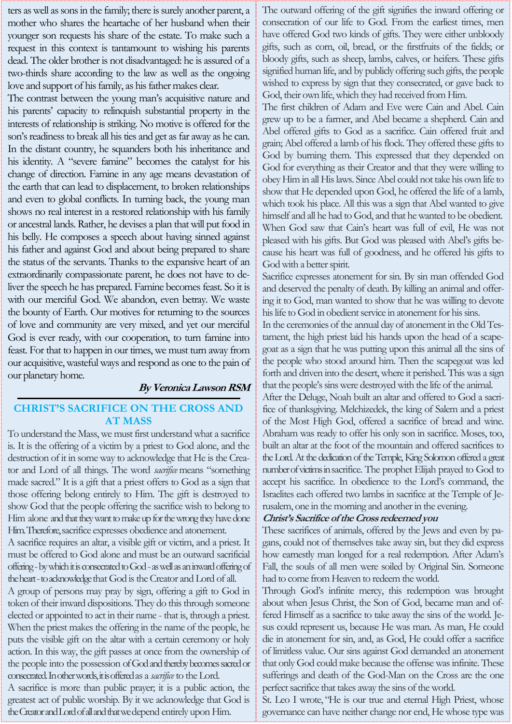ters as well as sons in the family; there is surely another parent, a mother who shares the heartache of her husband when their younger son requests his share of the estate. To make such a request in this context is tantamount to wishing his parents dead. The older brother is not disadvantaged: he is assured of a two-thirds share according to the law as well as the ongoing love and support of his family, as his father makes clear.

The contrast between the young man's acquisitive nature and his parents' capacity to relinquish substantial property in the interests of relationship is striking. No motive is offered for the son's readiness to break all his ties and get as far away as he can. In the distant country, he squanders both his inheritance and his identity. A "severe famine" becomes the catalyst for his change of direction. Famine in any age means devastation of the earth that can lead to displacement, to broken relationships and even to global conflicts. In turning back, the young man shows no real interest in a restored relationship with his family or ancestral lands. Rather, he devises a plan that will put food in his belly. He composes a speech about having sinned against his father and against God and about being prepared to share the status of the servants. Thanks to the expansive heart of an extraordinarily compassionate parent, he does not have to deliver the speech he has prepared. Famine becomes feast. So it is with our merciful God. We abandon, even betray. We waste the bounty of Earth. Our motives for returning to the sources of love and community are very mixed, and yet our merciful God is ever ready, with our cooperation, to turn famine into feast. For that to happen in our times, we must turn away from our acquisitive, wasteful ways and respond as one to the pain of our planetary home.

#### **By Veronica Lawson RSM**

#### **CHRIST'S SACRIFICE ON THE CROSS AND AT MASS**

To understand the Mass, we must first understand what a sacrifice is. It is the offering of a victim by a priest to God alone, and the destruction of it in some way to acknowledge that He is the Creator and Lord of all things. The word *sacrifice* means "something made sacred." It is a gift that a priest offers to God as a sign that those offering belong entirely to Him. The gift is destroyed to show God that the people offering the sacrifice wish to belong to Him alone and that they want to make up for the wrong they have done Him. Therefore, sacrifice expresses obedience and atonement.

A sacrifice requires an altar, a visible gift or victim, and a priest. It must be offered to God alone and must be an outward sacrificial offering -by which it is consecrated to God -as well as an inward offering of the heart -to acknowledge that God is the Creator and Lord of all.

A group of persons may pray by sign, offering a gift to God in token of their inward dispositions. They do this through someone elected or appointed to act in their name - that is, through a priest. When the priest makes the offering in the name of the people, he puts the visible gift on the altar with a certain ceremony or holy action. In this way, the gift passes at once from the ownership of the people into the possession of God and thereby becomes sacred or consecrated. In other words, it is offered as a *sacrifice* to the Lord.

A sacrifice is more than public prayer; it is a public action, the greatest act of public worship. By it we acknowledge that God is the Creator and Lord of all and that we depend entirely upon Him.

The outward offering of the gift signifies the inward offering or consecration of our life to God. From the earliest times, men have offered God two kinds of gifts. They were either unbloody gifts, such as corn, oil, bread, or the firstfruits of the fields; or bloody gifts, such as sheep, lambs, calves, or heifers. These gifts signified human life, and by publicly offering such gifts, the people wished to express by sign that they consecrated, or gave back to God, their own life, which they had received from Him.

The first children of Adam and Eve were Cain and Abel. Cain grew up to be a farmer, and Abel became a shepherd. Cain and Abel offered gifts to God as a sacrifice. Cain offered fruit and grain; Abel offered a lamb of his flock. They offered these gifts to God by burning them. This expressed that they depended on God for everything as their Creator and that they were willing to obey Him in all His laws. Since Abel could not take his own life to show that He depended upon God, he offered the life of a lamb, which took his place. All this was a sign that Abel wanted to give himself and all he had to God, and that he wanted to be obedient. When God saw that Cain's heart was full of evil, He was not pleased with his gifts. But God was pleased with Abel's gifts because his heart was full of goodness, and he offered his gifts to God with a better spirit.

Sacrifice expresses atonement for sin. By sin man offended God and deserved the penalty of death. By killing an animal and offering it to God, man wanted to show that he was willing to devote his life to God in obedient service in atonement for his sins.

In the ceremonies of the annual day of atonement in the Old Testament, the high priest laid his hands upon the head of a scapegoat as a sign that he was putting upon this animal all the sins of the people who stood around him. Then the scapegoat was led forth and driven into the desert, where it perished. This was a sign that the people's sins were destroyed with the life of the animal.

After the Deluge, Noah built an altar and offered to God a sacrifice of thanksgiving. Melchizedek, the king of Salem and a priest of the Most High God, offered a sacrifice of bread and wine. Abraham was ready to offer his only son in sacrifice. Moses, too, built an altar at the foot of the mountain and offered sacrifices to the Lord. At the dedication of the Temple, King Solomon offered a great number of victims in sacrifice. The prophet Elijah prayed to God to accept his sacrifice. In obedience to the Lord's command, the Israelites each offered two lambs in sacrifice at the Temple of Jerusalem, one in the morning and another in the evening.

#### **Christ's Sacrifice of the Cross redeemed you**

These sacrifices of animals, offered by the Jews and even by pagans, could not of themselves take away sin, but they did express how earnestly man longed for a real redemption. After Adam's Fall, the souls of all men were soiled by Original Sin. Someone had to come from Heaven to redeem the world.

Through God's infinite mercy, this redemption was brought about when Jesus Christ, the Son of God, became man and offered Himself as a sacrifice to take away the sins of the world. Jesus could represent us, because He was man. As man, He could die in atonement for sin, and, as God, He could offer a sacrifice of limitless value. Our sins against God demanded an atonement that only God could make because the offense was infinite. These sufferings and death of the God-Man on the Cross are the one perfect sacrifice that takes away the sins of the world.

St. Leo I wrote, "He is our true and eternal High Priest, whose governance can have neither change nor end, He whose type was